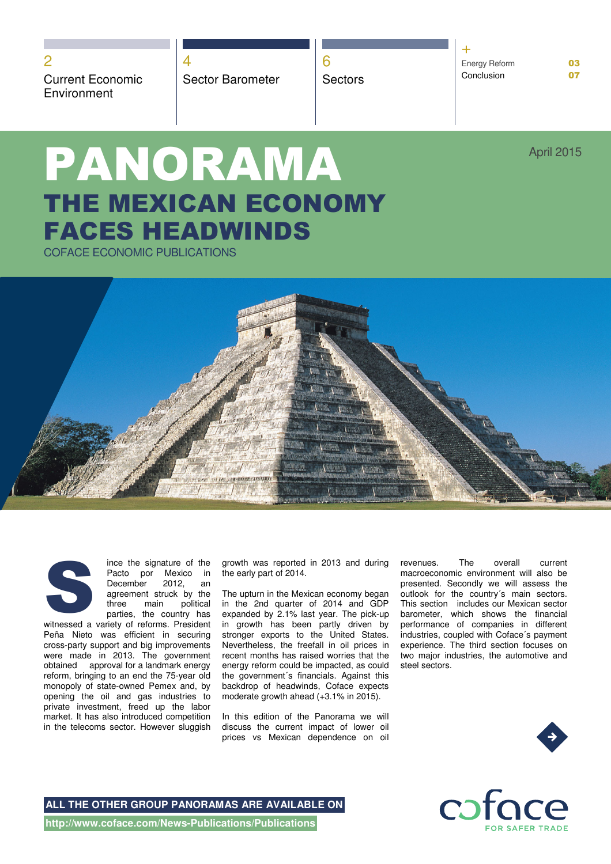Current Economic **Environment** 

Sector Barometer | Sectors

2  $\vert 4 \vert 6$ 

+ Energy Reform **03** Conclusion **07** 

April 2015

# PANORAMA THE MEXICAN ECONOMY FACES HEADWINDS

COFACE ECONOMIC PUBLICATIONS





ince the signature of the Pacto por Mexico in<br>December 2012, an December 2012, an agreement struck by the three main political parties, the country has

witnessed a variety of reforms. President Peña Nieto was efficient in securing cross-party support and big improvements were made in 2013. The government obtained approval for a landmark energy reform, bringing to an end the 75-year old monopoly of state-owned Pemex and, by opening the oil and gas industries to private investment, freed up the labor market. It has also introduced competition in the telecoms sector. However sluggish growth was reported in 2013 and during the early part of 2014.

The upturn in the Mexican economy began in the 2nd quarter of 2014 and GDP expanded by 2.1% last year. The pick-up in growth has been partly driven by stronger exports to the United States. Nevertheless, the freefall in oil prices in recent months has raised worries that the energy reform could be impacted, as could the government´s financials. Against this backdrop of headwinds, Coface expects moderate growth ahead (+3.1% in 2015).

In this edition of the Panorama we will discuss the current impact of lower oil prices vs Mexican dependence on oil revenues. The overall current macroeconomic environment will also be presented. Secondly we will assess the outlook for the country´s main sectors. This section includes our Mexican sector barometer, which shows the financial performance of companies in different industries, coupled with Coface´s payment experience. The third section focuses on two major industries, the automotive and steel sectors.





 **http://www.coface.com/News-Publications/Publications ALL THE OTHER GROUP PANORAMAS ARE AVAILABLE ON**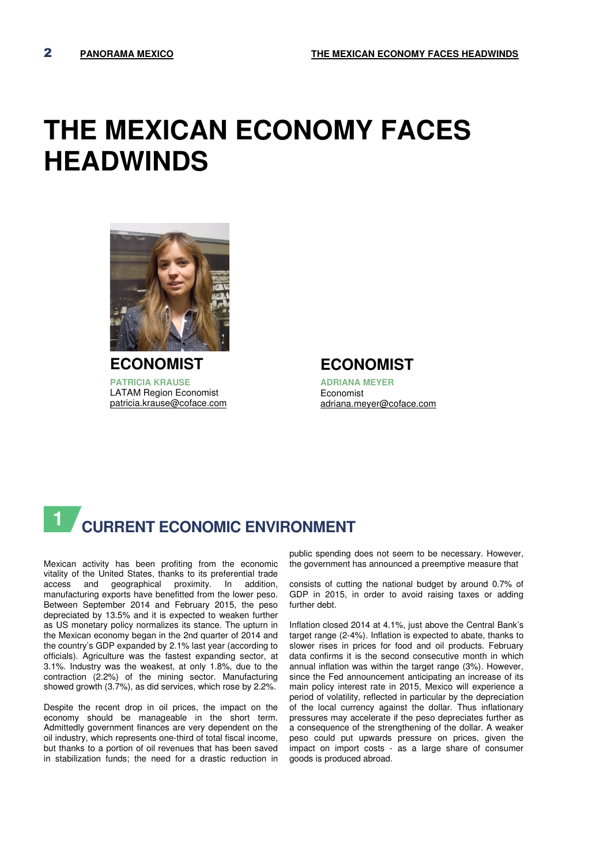## **THE MEXICAN ECONOMY FACES HEADWINDS**



**ECONOMIST PATRICIA KRAUSE** LATAM Region Economist patricia.krause@coface.com

### **ECONOMIST**

**ADRIANA MEYER** Economist adriana.meyer@coface.com

#### **CURRENT ECONOMIC ENVIRONMENT 1**

Mexican activity has been profiting from the economic vitality of the United States, thanks to its preferential trade access and geographical proximity. In addition, manufacturing exports have benefitted from the lower peso. Between September 2014 and February 2015, the peso depreciated by 13.5% and it is expected to weaken further as US monetary policy normalizes its stance. The upturn in the Mexican economy began in the 2nd quarter of 2014 and the country's GDP expanded by 2.1% last year (according to officials). Agriculture was the fastest expanding sector, at 3.1%. Industry was the weakest, at only 1.8%, due to the contraction (2.2%) of the mining sector. Manufacturing showed growth (3.7%), as did services, which rose by 2.2%.

Despite the recent drop in oil prices, the impact on the economy should be manageable in the short term. Admittedly government finances are very dependent on the oil industry, which represents one-third of total fiscal income, but thanks to a portion of oil revenues that has been saved in stabilization funds; the need for a drastic reduction in

public spending does not seem to be necessary. However, the government has announced a preemptive measure that

consists of cutting the national budget by around 0.7% of GDP in 2015, in order to avoid raising taxes or adding further debt.

Inflation closed 2014 at 4.1%, just above the Central Bank's target range (2-4%). Inflation is expected to abate, thanks to slower rises in prices for food and oil products. February data confirms it is the second consecutive month in which annual inflation was within the target range (3%). However, since the Fed announcement anticipating an increase of its main policy interest rate in 2015, Mexico will experience a period of volatility, reflected in particular by the depreciation of the local currency against the dollar. Thus inflationary pressures may accelerate if the peso depreciates further as a consequence of the strengthening of the dollar. A weaker peso could put upwards pressure on prices, given the impact on import costs - as a large share of consumer goods is produced abroad.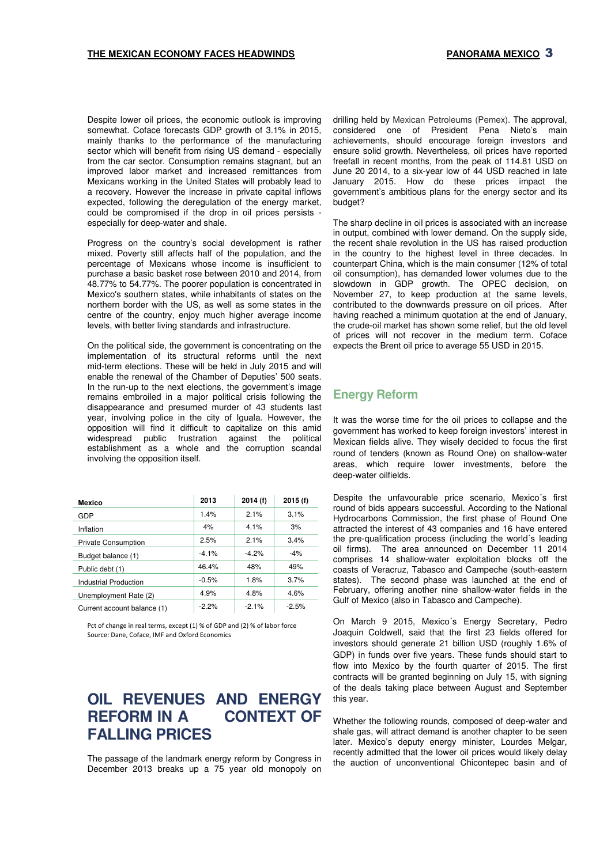Despite lower oil prices, the economic outlook is improving somewhat. Coface forecasts GDP growth of 3.1% in 2015, mainly thanks to the performance of the manufacturing sector which will benefit from rising US demand - especially from the car sector. Consumption remains stagnant, but an improved labor market and increased remittances from Mexicans working in the United States will probably lead to a recovery. However the increase in private capital inflows expected, following the deregulation of the energy market, could be compromised if the drop in oil prices persists especially for deep-water and shale.

Progress on the country's social development is rather mixed. Poverty still affects half of the population, and the percentage of Mexicans whose income is insufficient to purchase a basic basket rose between 2010 and 2014, from 48.77% to 54.77%. The poorer population is concentrated in Mexico's southern states, while inhabitants of states on the northern border with the US, as well as some states in the centre of the country, enjoy much higher average income levels, with better living standards and infrastructure.

On the political side, the government is concentrating on the implementation of its structural reforms until the next mid-term elections. These will be held in July 2015 and will enable the renewal of the Chamber of Deputies' 500 seats. In the run-up to the next elections, the government's image remains embroiled in a major political crisis following the disappearance and presumed murder of 43 students last year, involving police in the city of Iguala. However, the opposition will find it difficult to capitalize on this amid widespread public frustration against the political establishment as a whole and the corruption scandal involving the opposition itself.

| Mexico                      | 2013    | 2014(f) | 2015(f) |
|-----------------------------|---------|---------|---------|
| GDP                         | 1.4%    | 2.1%    | 3.1%    |
| Inflation                   | 4%      | 4.1%    | 3%      |
| <b>Private Consumption</b>  | 2.5%    | 2.1%    | 3.4%    |
| Budget balance (1)          | $-4.1%$ | $-4.2%$ | $-4%$   |
| Public debt (1)             | 46.4%   | 48%     | 49%     |
| Industrial Production       | $-0.5%$ | 1.8%    | 3.7%    |
| Unemployment Rate (2)       | 4.9%    | 4.8%    | 4.6%    |
| Current account balance (1) | $-2.2%$ | $-2.1%$ | $-2.5%$ |

Pct of change in real terms, except (1) % of GDP and (2) % of labor force Source: Dane, Coface, IMF and Oxford Economics

## **OIL REVENUES AND ENERGY REFORM IN A CONTEXT OF FALLING PRICES**

The passage of the landmark energy reform by Congress in December 2013 breaks up a 75 year old monopoly on drilling held by Mexican Petroleums (Pemex). The approval, considered one of President Pena Nieto's main achievements, should encourage foreign investors and ensure solid growth. Nevertheless, oil prices have reported freefall in recent months, from the peak of 114.81 USD on June 20 2014, to a six-year low of 44 USD reached in late January 2015. How do these prices impact the government's ambitious plans for the energy sector and its budget?

The sharp decline in oil prices is associated with an increase in output, combined with lower demand. On the supply side, the recent shale revolution in the US has raised production in the country to the highest level in three decades. In counterpart China, which is the main consumer (12% of total oil consumption), has demanded lower volumes due to the slowdown in GDP growth. The OPEC decision, on November 27, to keep production at the same levels, contributed to the downwards pressure on oil prices. After having reached a minimum quotation at the end of January, the crude-oil market has shown some relief, but the old level of prices will not recover in the medium term. Coface expects the Brent oil price to average 55 USD in 2015.

#### **Energy Reform**

It was the worse time for the oil prices to collapse and the government has worked to keep foreign investors' interest in Mexican fields alive. They wisely decided to focus the first round of tenders (known as Round One) on shallow-water areas, which require lower investments, before the deep-water oilfields.

Despite the unfavourable price scenario, Mexico´s first round of bids appears successful. According to the National Hydrocarbons Commission, the first phase of Round One attracted the interest of 43 companies and 16 have entered the pre-qualification process (including the world´s leading oil firms). The area announced on December 11 2014 comprises 14 shallow-water exploitation blocks off the coasts of Veracruz, Tabasco and Campeche (south-eastern states). The second phase was launched at the end of February, offering another nine shallow-water fields in the Gulf of Mexico (also in Tabasco and Campeche).

On March 9 2015, Mexico´s Energy Secretary, Pedro Joaquin Coldwell, said that the first 23 fields offered for investors should generate 21 billion USD (roughly 1.6% of GDP) in funds over five years. These funds should start to flow into Mexico by the fourth quarter of 2015. The first contracts will be granted beginning on July 15, with signing of the deals taking place between August and September this year.

Whether the following rounds, composed of deep-water and shale gas, will attract demand is another chapter to be seen later. Mexico's deputy energy minister, Lourdes Melgar, recently admitted that the lower oil prices would likely delay the auction of unconventional Chicontepec basin and of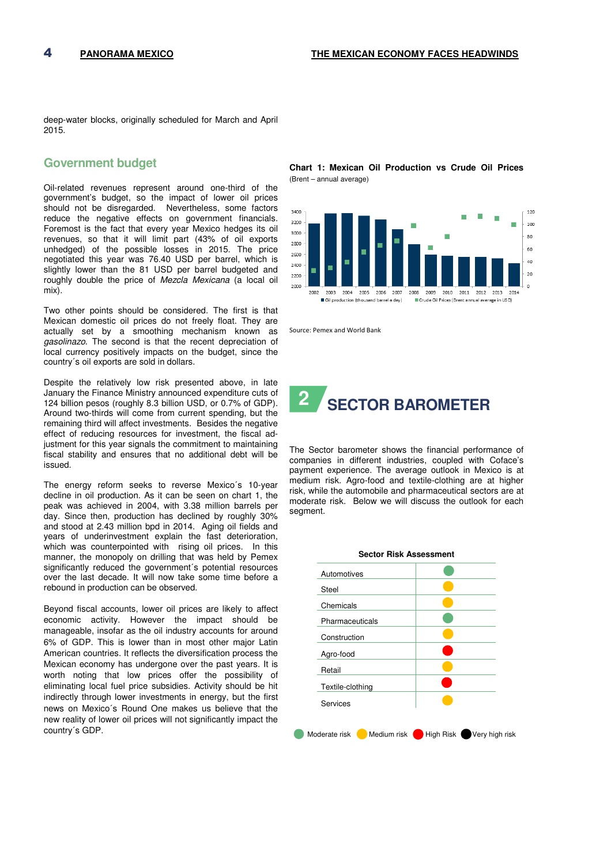deep-water blocks, originally scheduled for March and April 2015.

#### **Government budget**

Oil-related revenues represent around one-third of the government's budget, so the impact of lower oil prices should not be disregarded. Nevertheless, some factors reduce the negative effects on government financials. Foremost is the fact that every year Mexico hedges its oil revenues, so that it will limit part (43% of oil exports unhedged) of the possible losses in 2015. The price negotiated this year was 76.40 USD per barrel, which is slightly lower than the 81 USD per barrel budgeted and roughly double the price of Mezcla Mexicana (a local oil mix).

Two other points should be considered. The first is that Mexican domestic oil prices do not freely float. They are actually set by a smoothing mechanism known as gasolinazo. The second is that the recent depreciation of local currency positively impacts on the budget, since the country´s oil exports are sold in dollars.

Despite the relatively low risk presented above, in late January the Finance Ministry announced expenditure cuts of 124 billion pesos (roughly 8.3 billion USD, or 0.7% of GDP). Around two-thirds will come from current spending, but the remaining third will affect investments. Besides the negative effect of reducing resources for investment, the fiscal adjustment for this year signals the commitment to maintaining fiscal stability and ensures that no additional debt will be issued.

The energy reform seeks to reverse Mexico´s 10-year decline in oil production. As it can be seen on chart 1, the peak was achieved in 2004, with 3.38 million barrels per day. Since then, production has declined by roughly 30% and stood at 2.43 million bpd in 2014. Aging oil fields and years of underinvestment explain the fast deterioration, which was counterpointed with rising oil prices. In this manner, the monopoly on drilling that was held by Pemex significantly reduced the government's potential resources over the last decade. It will now take some time before a rebound in production can be observed.

Beyond fiscal accounts, lower oil prices are likely to affect economic activity. However the impact should be manageable, insofar as the oil industry accounts for around 6% of GDP. This is lower than in most other major Latin American countries. It reflects the diversification process the Mexican economy has undergone over the past years. It is worth noting that low prices offer the possibility of eliminating local fuel price subsidies. Activity should be hit indirectly through lower investments in energy, but the first news on Mexico´s Round One makes us believe that the new reality of lower oil prices will not significantly impact the country´s GDP.

**Chart 1: Mexican Oil Production vs Crude Oil Prices**  (Brent – annual average)



Source: Pemex and World Bank



The Sector barometer shows the financial performance of companies in different industries, coupled with Coface's payment experience. The average outlook in Mexico is at medium risk. Agro-food and textile-clothing are at higher risk, while the automobile and pharmaceutical sectors are at moderate risk. Below we will discuss the outlook for each segment.

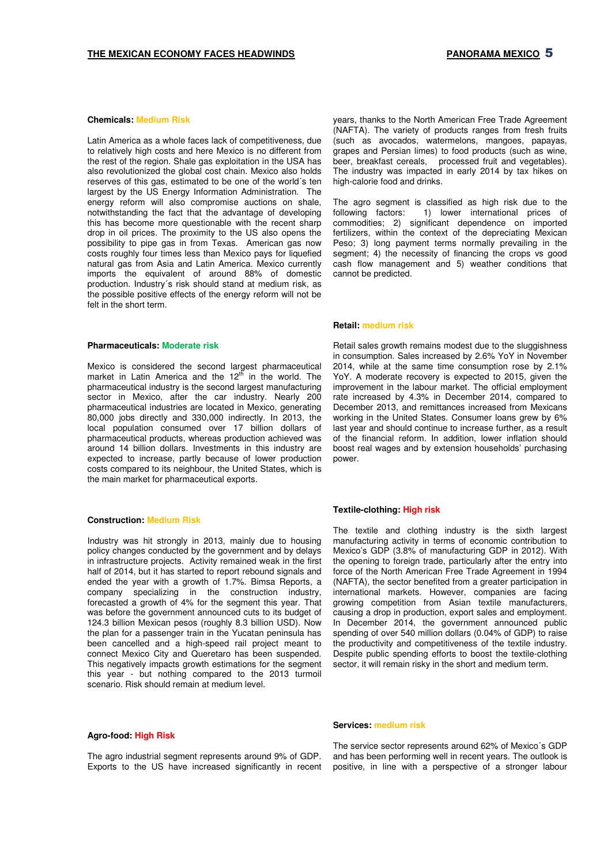#### **Chemicals: Medium Risk**

Latin America as a whole faces lack of competitiveness, due to relatively high costs and here Mexico is no different from the rest of the region. Shale gas exploitation in the USA has also revolutionized the global cost chain. Mexico also holds reserves of this gas, estimated to be one of the world´s ten largest by the US Energy Information Administration. The energy reform will also compromise auctions on shale, notwithstanding the fact that the advantage of developing this has become more questionable with the recent sharp drop in oil prices. The proximity to the US also opens the possibility to pipe gas in from Texas. American gas now costs roughly four times less than Mexico pays for liquefied natural gas from Asia and Latin America. Mexico currently imports the equivalent of around 88% of domestic production. Industry´s risk should stand at medium risk, as the possible positive effects of the energy reform will not be felt in the short term.

#### **Pharmaceuticals: Moderate risk**

Mexico is considered the second largest pharmaceutical market in Latin America and the  $12^{t}$  in the world. The pharmaceutical industry is the second largest manufacturing sector in Mexico, after the car industry. Nearly 200 pharmaceutical industries are located in Mexico, generating 80,000 jobs directly and 330,000 indirectly. In 2013, the local population consumed over 17 billion dollars of pharmaceutical products, whereas production achieved was around 14 billion dollars. Investments in this industry are expected to increase, partly because of lower production costs compared to its neighbour, the United States, which is the main market for pharmaceutical exports.

#### **Construction: Medium Risk**

Industry was hit strongly in 2013, mainly due to housing policy changes conducted by the government and by delays in infrastructure projects. Activity remained weak in the first half of 2014, but it has started to report rebound signals and ended the year with a growth of 1.7%. Bimsa Reports, a company specializing in the construction industry, forecasted a growth of 4% for the segment this year. That was before the government announced cuts to its budget of 124.3 billion Mexican pesos (roughly 8.3 billion USD). Now the plan for a passenger train in the Yucatan peninsula has been cancelled and a high-speed rail project meant to connect Mexico City and Queretaro has been suspended. This negatively impacts growth estimations for the segment this year - but nothing compared to the 2013 turmoil scenario. Risk should remain at medium level.

#### **Agro-food: High Risk**

The agro industrial segment represents around 9% of GDP. Exports to the US have increased significantly in recent years, thanks to the North American Free Trade Agreement (NAFTA). The variety of products ranges from fresh fruits (such as avocados, watermelons, mangoes, papayas, grapes and Persian limes) to food products (such as wine, beer, breakfast cereals, processed fruit and vegetables). The industry was impacted in early 2014 by tax hikes on high-calorie food and drinks.

The agro segment is classified as high risk due to the following factors: 1) lower international prices of commodities; 2) significant dependence on imported fertilizers, within the context of the depreciating Mexican Peso; 3) long payment terms normally prevailing in the segment; 4) the necessity of financing the crops vs good cash flow management and 5) weather conditions that cannot be predicted.

#### **Retail: medium risk**

Retail sales growth remains modest due to the sluggishness in consumption. Sales increased by 2.6% YoY in November 2014, while at the same time consumption rose by 2.1% YoY. A moderate recovery is expected to 2015, given the improvement in the labour market. The official employment rate increased by 4.3% in December 2014, compared to December 2013, and remittances increased from Mexicans working in the United States. Consumer loans grew by 6% last year and should continue to increase further, as a result of the financial reform. In addition, lower inflation should boost real wages and by extension households' purchasing power.

#### **Textile-clothing: High risk**

The textile and clothing industry is the sixth largest manufacturing activity in terms of economic contribution to Mexico's GDP (3.8% of manufacturing GDP in 2012). With the opening to foreign trade, particularly after the entry into force of the North American Free Trade Agreement in 1994 (NAFTA), the sector benefited from a greater participation in international markets. However, companies are facing growing competition from Asian textile manufacturers, causing a drop in production, export sales and employment. In December 2014, the government announced public spending of over 540 million dollars (0.04% of GDP) to raise the productivity and competitiveness of the textile industry. Despite public spending efforts to boost the textile-clothing sector, it will remain risky in the short and medium term.

#### **Services: medium risk**

The service sector represents around 62% of Mexico´s GDP and has been performing well in recent years. The outlook is positive, in line with a perspective of a stronger labour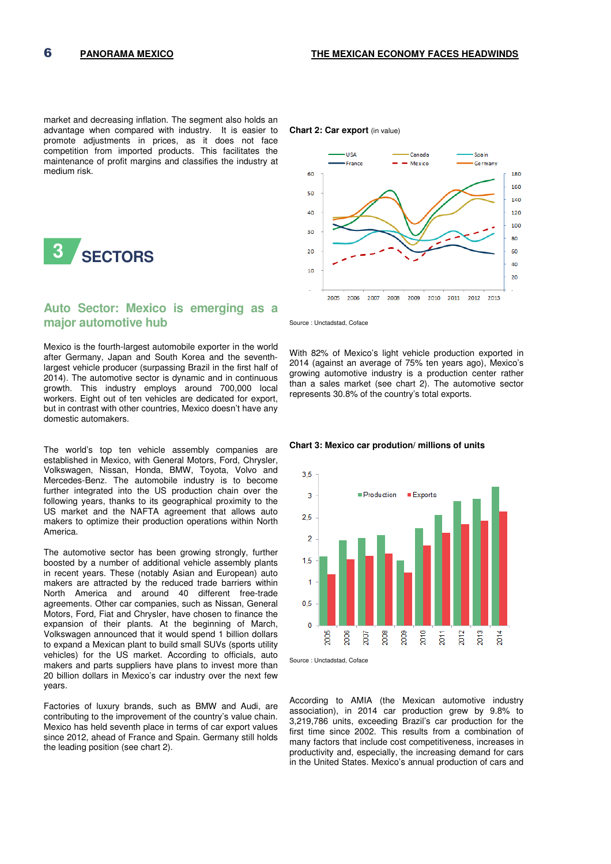market and decreasing inflation. The segment also holds an advantage when compared with industry. It is easier to promote adjustments in prices, as it does not face competition from imported products. This facilitates the maintenance of profit margins and classifies the industry at medium risk.



#### **Auto Sector: Mexico is emerging as a major automotive hub**

Mexico is the fourth-largest automobile exporter in the world after Germany, Japan and South Korea and the seventhlargest vehicle producer (surpassing Brazil in the first half of 2014). The automotive sector is dynamic and in continuous growth. This industry employs around 700,000 local workers. Eight out of ten vehicles are dedicated for export, but in contrast with other countries, Mexico doesn't have any domestic automakers.

The world's top ten vehicle assembly companies are established in Mexico, with General Motors, Ford, Chrysler, Volkswagen, Nissan, Honda, BMW, Toyota, Volvo and Mercedes-Benz. The automobile industry is to become further integrated into the US production chain over the following years, thanks to its geographical proximity to the US market and the NAFTA agreement that allows auto makers to optimize their production operations within North America.

The automotive sector has been growing strongly, further boosted by a number of additional vehicle assembly plants in recent years. These (notably Asian and European) auto makers are attracted by the reduced trade barriers within North America and around 40 different free-trade agreements. Other car companies, such as Nissan, General Motors, Ford, Fiat and Chrysler, have chosen to finance the expansion of their plants. At the beginning of March, Volkswagen announced that it would spend 1 billion dollars to expand a Mexican plant to build small SUVs (sports utility vehicles) for the US market. According to officials, auto makers and parts suppliers have plans to invest more than 20 billion dollars in Mexico's car industry over the next few years.

Factories of luxury brands, such as BMW and Audi, are contributing to the improvement of the country's value chain. Mexico has held seventh place in terms of car export values since 2012, ahead of France and Spain. Germany still holds the leading position (see chart 2).

**Chart 2: Car export** (in value)



Source : Unctadstad, Coface

With 82% of Mexico's light vehicle production exported in 2014 (against an average of 75% ten years ago), Mexico's growing automotive industry is a production center rather than a sales market (see chart 2). The automotive sector represents 30.8% of the country's total exports.

**Chart 3: Mexico car prodution/ millions of units** 



Source : Unctadstad, Coface

According to AMIA (the Mexican automotive industry association), in 2014 car production grew by 9.8% to 3,219,786 units, exceeding Brazil's car production for the first time since 2002. This results from a combination of many factors that include cost competitiveness, increases in productivity and, especially, the increasing demand for cars in the United States. Mexico's annual production of cars and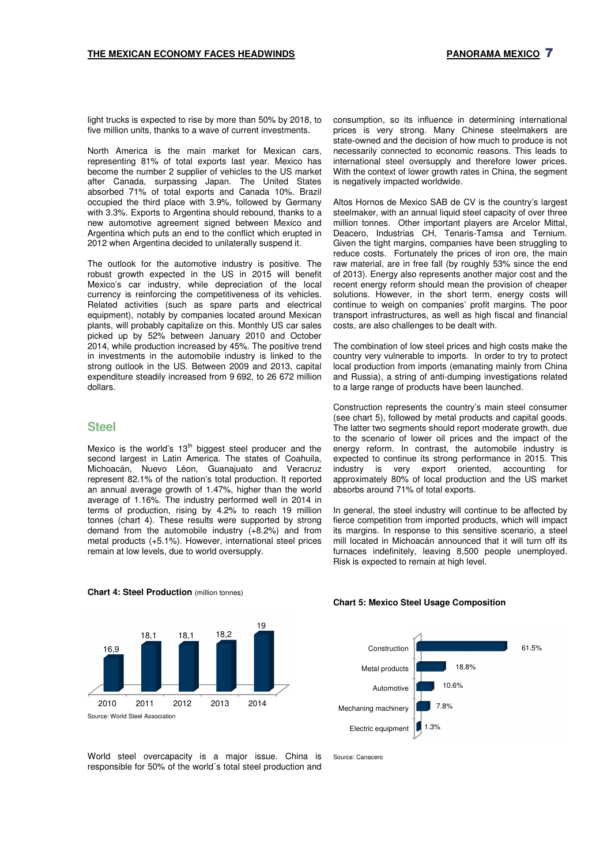light trucks is expected to rise by more than 50% by 2018, to five million units, thanks to a wave of current investments.

North America is the main market for Mexican cars, representing 81% of total exports last year. Mexico has become the number 2 supplier of vehicles to the US market after Canada, surpassing Japan. The United States absorbed 71% of total exports and Canada 10%. Brazil occupied the third place with 3.9%, followed by Germany with 3.3%. Exports to Argentina should rebound, thanks to a new automotive agreement signed between Mexico and Argentina which puts an end to the conflict which erupted in 2012 when Argentina decided to unilaterally suspend it.

The outlook for the automotive industry is positive. The robust growth expected in the US in 2015 will benefit Mexico's car industry, while depreciation of the local currency is reinforcing the competitiveness of its vehicles. Related activities (such as spare parts and electrical equipment), notably by companies located around Mexican plants, will probably capitalize on this. Monthly US car sales picked up by 52% between January 2010 and October 2014, while production increased by 45%. The positive trend in investments in the automobile industry is linked to the strong outlook in the US. Between 2009 and 2013, capital expenditure steadily increased from 9 692, to 26 672 million dollars.

#### **Steel**

Mexico is the world's  $13<sup>th</sup>$  biggest steel producer and the second largest in Latin America. The states of Coahuila, Michoacán, Nuevo Léon, Guanajuato and Veracruz represent 82.1% of the nation's total production. It reported an annual average growth of 1.47%, higher than the world average of 1.16%. The industry performed well in 2014 in terms of production, rising by 4.2% to reach 19 million tonnes (chart 4). These results were supported by strong demand from the automobile industry (+8.2%) and from metal products (+5.1%). However, international steel prices remain at low levels, due to world oversupply.



#### **Chart 4: Steel Production** (million tonnes)

consumption, so its influence in determining international prices is very strong. Many Chinese steelmakers are state-owned and the decision of how much to produce is not necessarily connected to economic reasons. This leads to international steel oversupply and therefore lower prices. With the context of lower growth rates in China, the segment is negatively impacted worldwide.

Altos Hornos de Mexico SAB de CV is the country's largest steelmaker, with an annual liquid steel capacity of over three million tonnes. Other important players are Arcelor Mittal, Deacero, Industrias CH, Tenaris-Tamsa and Ternium. Given the tight margins, companies have been struggling to reduce costs. Fortunately the prices of iron ore, the main raw material, are in free fall (by roughly 53% since the end of 2013). Energy also represents another major cost and the recent energy reform should mean the provision of cheaper solutions. However, in the short term, energy costs will continue to weigh on companies' profit margins. The poor transport infrastructures, as well as high fiscal and financial costs, are also challenges to be dealt with.

The combination of low steel prices and high costs make the country very vulnerable to imports. In order to try to protect local production from imports (emanating mainly from China and Russia), a string of anti-dumping investigations related to a large range of products have been launched.

Construction represents the country's main steel consumer (see chart 5), followed by metal products and capital goods. The latter two segments should report moderate growth, due to the scenario of lower oil prices and the impact of the energy reform. In contrast, the automobile industry is expected to continue its strong performance in 2015. This industry is very export oriented, accounting for approximately 80% of local production and the US market absorbs around 71% of total exports.

In general, the steel industry will continue to be affected by fierce competition from imported products, which will impact its margins. In response to this sensitive scenario, a steel mill located in Michoacán announced that it will turn off its furnaces indefinitely, leaving 8,500 people unemployed. Risk is expected to remain at high level.

#### **Chart 5: Mexico Steel Usage Composition**



World steel overcapacity is a major issue. China is responsible for 50% of the world´s total steel production and

Source: Canacero